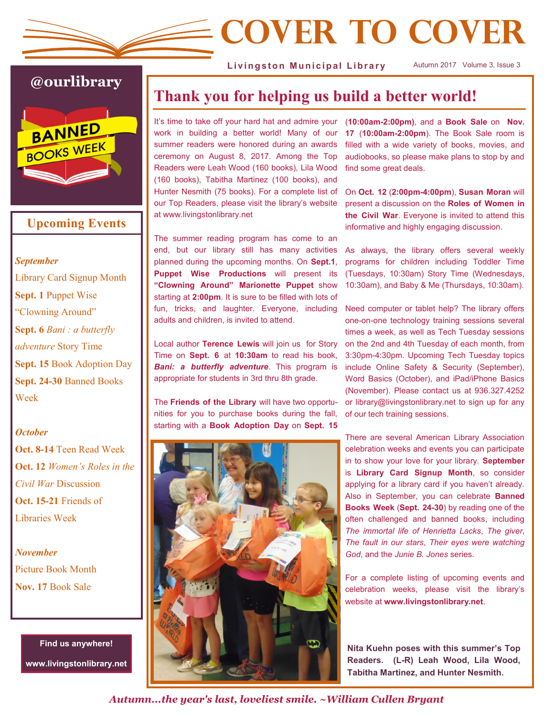# **Cover to Cover**

Livingston Municipal Library

Autumn 2017 Volume 3, Issue 3

# **@ourlibrary** BANNED BOOKS WEEK

### **Upcoming Events**

*September* Library Card Signup Month **Sept. 1** Puppet Wise "Clowning Around" **Sept. 6** *Bani : a butterfly adventure* Story Time **Sept. 15** Book Adoption Day **Sept. 24-30** Banned Books Week

#### *October*

**Oct. 8-14** Teen Read Week **Oct. 12** *Women's Roles in the Civil War* Discussion **Oct. 15-21** Friends of Libraries Week

*November* Picture Book Month **Nov. 17** Book Sale

> **Find us anywhere! www.livingstonlibrary.net**

## **Thank you for helping us build a better world!**

It's time to take off your hard hat and admire your work in building a better world! Many of our summer readers were honored during an awards ceremony on August 8, 2017. Among the Top Readers were Leah Wood (160 books), Lila Wood (160 books), Tabitha Martinez (100 books), and Hunter Nesmith (75 books). For a complete list of our Top Readers, please visit the library's website at www.livingstonlibrary.net

The summer reading program has come to an end, but our library still has many activities planned during the upcoming months. On **Sept.1**, **Puppet Wise Productions** will present its **"Clowning Around" Marionette Puppet** show starting at **2:00pm**. It is sure to be filled with lots of fun, tricks, and laughter. Everyone, including adults and children, is invited to attend.

Local author **Terence Lewis** will join us for Story Time on **Sept. 6** at **10:30am** to read his book, *Bani: a butterfly adventure*. This program is appropriate for students in 3rd thru 8th grade.

The **Friends of the Library** will have two opportunities for you to purchase books during the fall, starting with a **Book Adoption Day** on **Sept. 15**



(**10:00am-2:00pm)**, and a **Book Sale** on **Nov. 17** (**10:00am-2:00pm**). The Book Sale room is filled with a wide variety of books, movies, and audiobooks, so please make plans to stop by and find some great deals.

On **Oct. 12** (**2:00pm-4:00pm**), **Susan Moran** will present a discussion on the **Roles of Women in the Civil War**. Everyone is invited to attend this informative and highly engaging discussion.

As always, the library offers several weekly programs for children including Toddler Time (Tuesdays, 10:30am) Story Time (Wednesdays, 10:30am), and Baby & Me (Thursdays, 10:30am).

Need computer or tablet help? The library offers one-on-one technology training sessions several times a week, as well as Tech Tuesday sessions on the 2nd and 4th Tuesday of each month, from 3:30pm-4:30pm. Upcoming Tech Tuesday topics include Online Safety & Security (September), Word Basics (October), and iPad/iPhone Basics (November). Please contact us at 936.327.4252 or library@livingstonlibrary.net to sign up for any of our tech training sessions.

There are several American Library Association celebration weeks and events you can participate in to show your love for your library. **September** is **Library Card Signup Month**, so consider applying for a library card if you haven't already. Also in September, you can celebrate **Banned Books Week** (**Sept. 24-30**) by reading one of the often challenged and banned books, including *The immortal life of Henrietta Lacks*, *The giver*, *The fault in our stars*, *Their eyes were watching God*, and the *Junie B. Jones* series.

For a complete listing of upcoming events and celebration weeks, please visit the library's website at **www.livingstonlibrary.net**.

**Nita Kuehn poses with this summer's Top Readers. (L-R) Leah Wood, Lila Wood, Tabitha Martinez, and Hunter Nesmith.**

*Autumn...the year's last, loveliest smile. ~William Cullen Bryant*